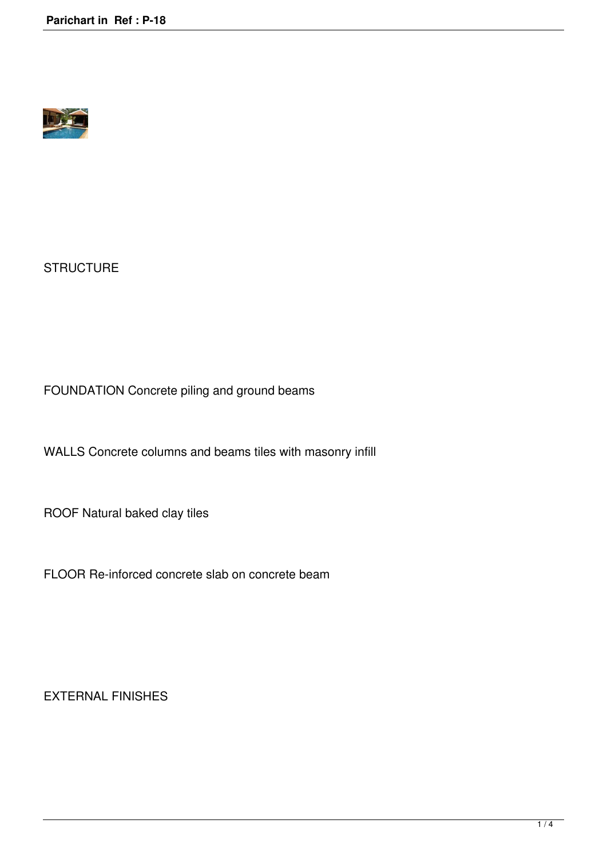

**STRUCTURE** 

FOUNDATION Concrete piling and ground beams

WALLS Concrete columns and beams tiles with masonry infill

ROOF Natural baked clay tiles

FLOOR Re-inforced concrete slab on concrete beam

EXTERNAL FINISHES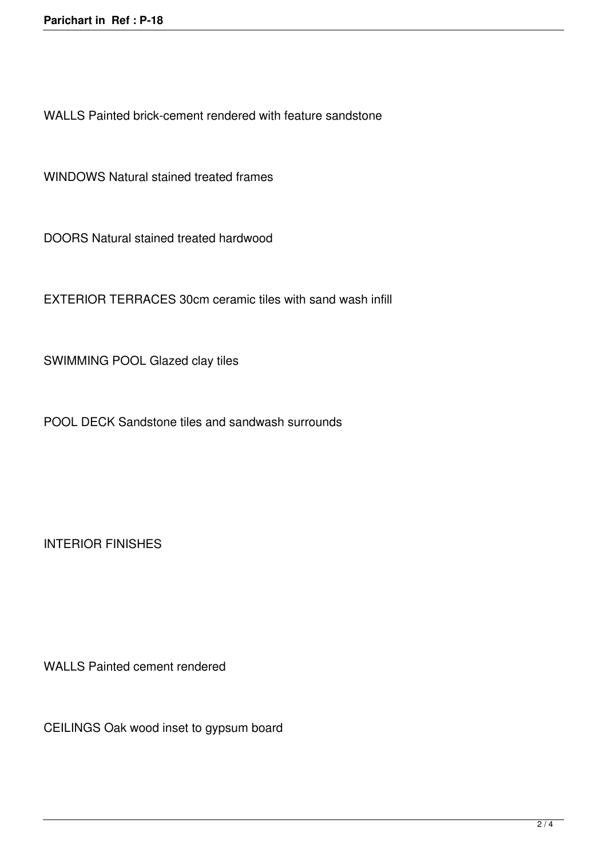WALLS Painted brick-cement rendered with feature sandstone

WINDOWS Natural stained treated frames

DOORS Natural stained treated hardwood

EXTERIOR TERRACES 30cm ceramic tiles with sand wash infill

SWIMMING POOL Glazed clay tiles

POOL DECK Sandstone tiles and sandwash surrounds

INTERIOR FINISHES

WALLS Painted cement rendered

CEILINGS Oak wood inset to gypsum board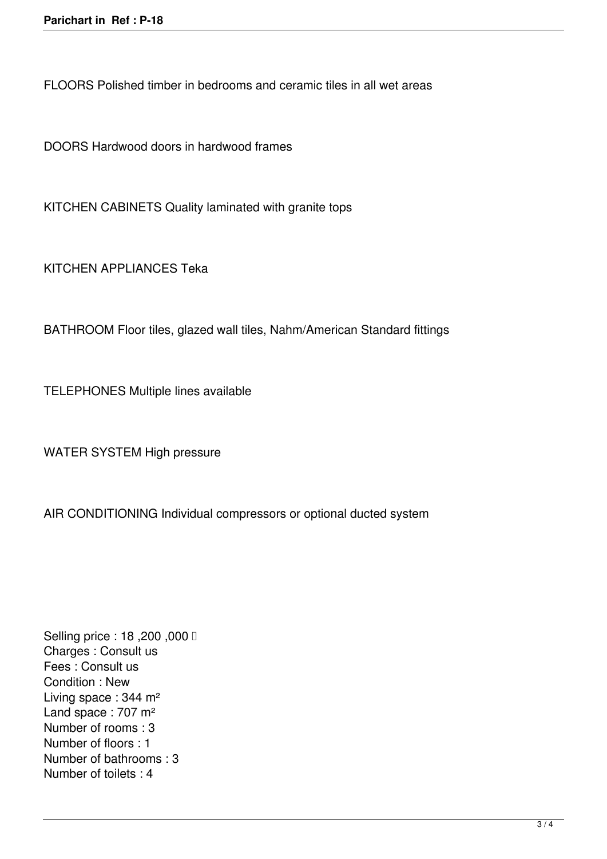FLOORS Polished timber in bedrooms and ceramic tiles in all wet areas

DOORS Hardwood doors in hardwood frames

KITCHEN CABINETS Quality laminated with granite tops

KITCHEN APPLIANCES Teka

BATHROOM Floor tiles, glazed wall tiles, Nahm/American Standard fittings

TELEPHONES Multiple lines available

WATER SYSTEM High pressure

AIR CONDITIONING Individual compressors or optional ducted system

Selling price : 18,200,000 **□** Charges : Consult us Fees : Consult us Condition : New Living space : 344 m² Land space : 707 m<sup>2</sup> Number of rooms : 3 Number of floors : 1 Number of bathrooms : 3 Number of toilets : 4